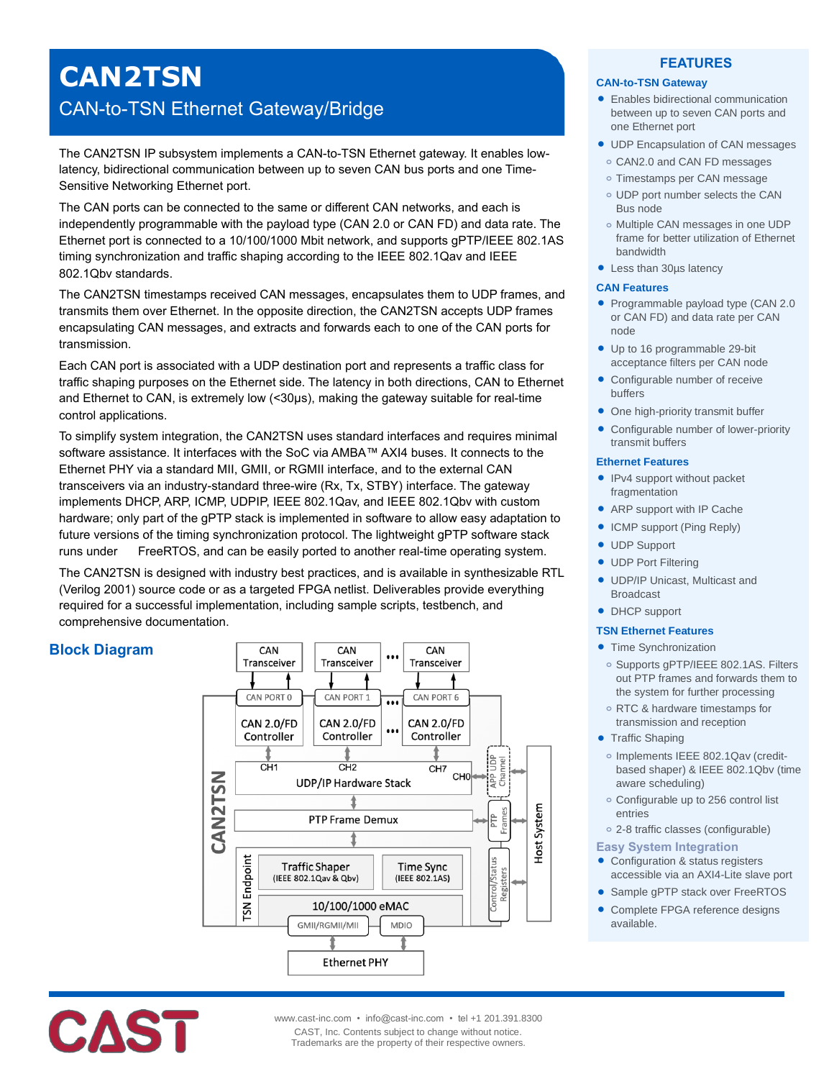# **CAN2TSN** CAN-to-TSN Ethernet Gateway/Bridge

The CAN2TSN IP subsystem implements a CAN-to-TSN Ethernet gateway. It enables lowlatency, bidirectional communication between up to seven CAN bus ports and one Time-Sensitive Networking Ethernet port.

The CAN ports can be connected to the same or different CAN networks, and each is independently programmable with the payload type (CAN 2.0 or CAN FD) and data rate. The Ethernet port is connected to a 10/100/1000 Mbit network, and supports gPTP/IEEE 802.1AS timing synchronization and traffic shaping according to the IEEE 802.1Qav and IEEE 802.1Qbv standards.

The CAN2TSN timestamps received CAN messages, encapsulates them to UDP frames, and transmits them over Ethernet. In the opposite direction, the CAN2TSN accepts UDP frames encapsulating CAN messages, and extracts and forwards each to one of the CAN ports for transmission.

Each CAN port is associated with a UDP destination port and represents a traffic class for traffic shaping purposes on the Ethernet side. The latency in both directions, CAN to Ethernet and Ethernet to CAN, is extremely low (<30µs), making the gateway suitable for real-time control applications.

To simplify system integration, the CAN2TSN uses standard interfaces and requires minimal software assistance. It interfaces with the SoC via AMBA™ AXI4 buses. It connects to the Ethernet PHY via a standard MII, GMII, or RGMII interface, and to the external CAN transceivers via an industry-standard three-wire (Rx, Tx, STBY) interface. The gateway implements DHCP, ARP, ICMP, UDPIP, IEEE 802.1Qav, and IEEE 802.1Qbv with custom hardware; only part of the gPTP stack is implemented in software to allow easy adaptation to future versions of the timing synchronization protocol. The lightweight gPTP software stack runs under FreeRTOS, and can be easily ported to another real-time operating system.

The CAN2TSN is designed with industry best practices, and is available in synthesizable RTL (Verilog 2001) source code or as a targeted FPGA netlist. Deliverables provide everything required for a successful implementation, including sample scripts, testbench, and comprehensive documentation.

# **Block Diagram**



## **FEATURES**

### **CAN-to-TSN Gateway**

- **•** Enables bidirectional communication between up to seven CAN ports and one Ethernet port
- UDP Encapsulation of CAN messages
- **o** CAN2.0 and CAN FD messages
- **o** Timestamps per CAN message
- **o** UDP port number selects the CAN Bus node
- **o** Multiple CAN messages in one UDP frame for better utilization of Ethernet bandwidth
- Less than 30µs latency

#### **CAN Features**

- Programmable payload type (CAN 2.0 or CAN FD) and data rate per CAN node
- Up to 16 programmable 29-bit acceptance filters per CAN node
- Configurable number of receive buffers
- One high-priority transmit buffer
- Configurable number of lower-priority transmit buffers

#### **Ethernet Features**

- IPv4 support without packet fragmentation
- ARP support with IP Cache
- ICMP support (Ping Reply)
- UDP Support
- **UDP Port Filtering**
- UDP/IP Unicast, Multicast and Broadcast
- DHCP support

#### **TSN Ethernet Features**

- Time Synchronization
- **o** Supports gPTP/IEEE 802.1AS. Filters out PTP frames and forwards them to the system for further processing
- **o** RTC & hardware timestamps for transmission and reception
- Traffic Shaping
	- **o** Implements IEEE 802.1Qav (creditbased shaper) & IEEE 802.1Qbv (time aware scheduling)
- **o** Configurable up to 256 control list entries
- **o** 2-8 traffic classes (configurable)
- **Easy System Integration**
- Configuration & status registers accessible via an AXI4-Lite slave port
- Sample gPTP stack over FreeRTOS
- Complete FPGA reference designs available.